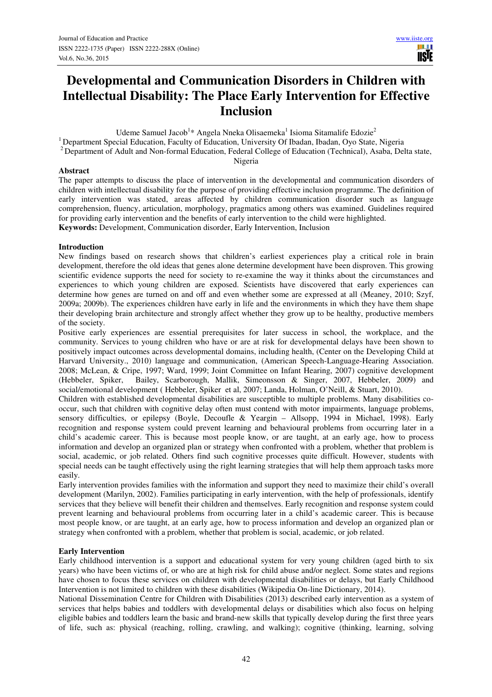# **Developmental and Communication Disorders in Children with Intellectual Disability: The Place Early Intervention for Effective Inclusion**

Udeme Samuel Jacob<sup>1</sup>\* Angela Nneka Olisaemeka<sup>1</sup> Isioma Sitamalife Edozie<sup>2</sup>

<sup>1</sup> Department Special Education, Faculty of Education, University Of Ibadan, Ibadan, Oyo State, Nigeria

<sup>2</sup> Department of Adult and Non-formal Education, Federal College of Education (Technical), Asaba, Delta state,

Nigeria

## **Abstract**

The paper attempts to discuss the place of intervention in the developmental and communication disorders of children with intellectual disability for the purpose of providing effective inclusion programme. The definition of early intervention was stated, areas affected by children communication disorder such as language comprehension, fluency, articulation, morphology, pragmatics among others was examined. Guidelines required for providing early intervention and the benefits of early intervention to the child were highlighted. **Keywords:** Development, Communication disorder, Early Intervention, Inclusion

### **Introduction**

New findings based on research shows that children's earliest experiences play a critical role in brain development, therefore the old ideas that genes alone determine development have been disproven. This growing scientific evidence supports the need for society to re-examine the way it thinks about the circumstances and experiences to which young children are exposed. Scientists have discovered that early experiences can determine how genes are turned on and off and even whether some are expressed at all (Meaney, 2010; Szyf, 2009a; 2009b). The experiences children have early in life and the environments in which they have them shape their developing brain architecture and strongly affect whether they grow up to be healthy, productive members of the society.

Positive early experiences are essential prerequisites for later success in school, the workplace, and the community. Services to young children who have or are at risk for developmental delays have been shown to positively impact outcomes across developmental domains, including health, (Center on the Developing Child at Harvard University., 2010) language and communication, (American Speech-Language-Hearing Association. 2008; McLean, & Cripe, 1997; Ward, 1999; Joint Committee on Infant Hearing, 2007) cognitive development (Hebbeler, Spiker, Bailey, Scarborough, Mallik, Simeonsson & Singer, 2007, Hebbeler, 2009) and social/emotional development ( Hebbeler, Spiker et al, 2007; Landa, Holman, O'Neill, & Stuart, 2010).

Children with established developmental disabilities are susceptible to multiple problems. Many disabilities cooccur, such that children with cognitive delay often must contend with motor impairments, language problems, sensory difficulties, or epilepsy (Boyle, Decoufle & Yeargin – Allsopp, 1994 in Michael, 1998). Early recognition and response system could prevent learning and behavioural problems from occurring later in a child's academic career. This is because most people know, or are taught, at an early age, how to process information and develop an organized plan or strategy when confronted with a problem, whether that problem is social, academic, or job related. Others find such cognitive processes quite difficult. However, students with special needs can be taught effectively using the right learning strategies that will help them approach tasks more easily.

Early intervention provides families with the information and support they need to maximize their child's overall development (Marilyn, 2002). Families participating in early intervention, with the help of professionals, identify services that they believe will benefit their children and themselves. Early recognition and response system could prevent learning and behavioural problems from occurring later in a child's academic career. This is because most people know, or are taught, at an early age, how to process information and develop an organized plan or strategy when confronted with a problem, whether that problem is social, academic, or job related.

## **Early Intervention**

Early childhood intervention is a support and educational system for very young children (aged birth to six years) who have been victims of, or who are at high risk for child abuse and/or neglect. Some states and regions have chosen to focus these services on children with developmental disabilities or delays, but Early Childhood Intervention is not limited to children with these disabilities (Wikipedia On-line Dictionary, 2014).

National Dissemination Centre for Children with Disabilities (2013) described early intervention as a system of services that helps babies and toddlers with developmental delays or disabilities which also focus on helping eligible babies and toddlers learn the basic and brand-new skills that typically develop during the first three years of life, such as: physical (reaching, rolling, crawling, and walking); cognitive (thinking, learning, solving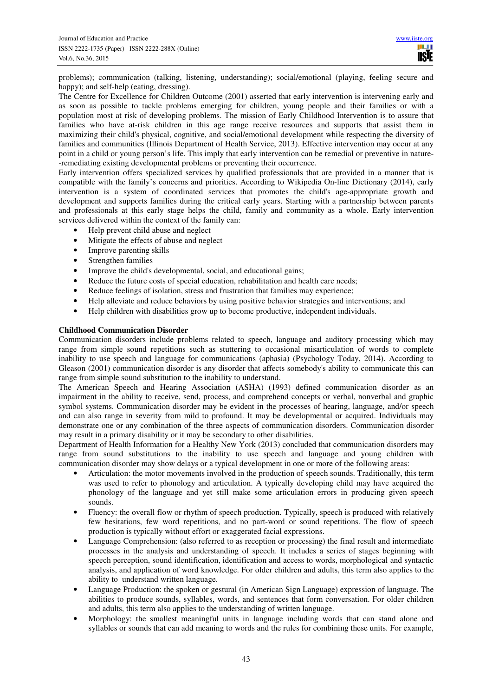problems); communication (talking, listening, understanding); social/emotional (playing, feeling secure and happy); and self-help (eating, dressing).

The Centre for Excellence for Children Outcome (2001) asserted that early intervention is intervening early and as soon as possible to tackle problems emerging for children, young people and their families or with a population most at risk of developing problems. The mission of Early Childhood Intervention is to assure that families who have at-risk children in this age range receive resources and supports that assist them in maximizing their child's physical, cognitive, and social/emotional development while respecting the diversity of families and communities (Illinois Department of Health Service, 2013). Effective intervention may occur at any point in a child or young person's life. This imply that early intervention can be remedial or preventive in nature- -remediating existing developmental problems or preventing their occurrence.

Early intervention offers specialized services by qualified professionals that are provided in a manner that is compatible with the family's concerns and priorities. According to Wikipedia On-line Dictionary (2014), early intervention is a system of coordinated services that promotes the child's age-appropriate growth and development and supports families during the critical early years. Starting with a partnership between parents and professionals at this early stage helps the child, family and community as a whole. Early intervention services delivered within the context of the family can:

- Help prevent child abuse and neglect
- Mitigate the effects of abuse and neglect
- Improve parenting skills
- Strengthen families
- Improve the child's developmental, social, and educational gains;
- Reduce the future costs of special education, rehabilitation and health care needs;
- Reduce feelings of isolation, stress and frustration that families may experience;
- Help alleviate and reduce behaviors by using positive behavior strategies and interventions; and
- Help children with disabilities grow up to become productive, independent individuals.

## **Childhood Communication Disorder**

Communication disorders include problems related to speech, language and auditory processing which may range from simple sound repetitions such as stuttering to occasional misarticulation of words to complete inability to use speech and language for communications (aphasia) (Psychology Today, 2014). According to Gleason (2001) communication disorder is any disorder that affects somebody's ability to communicate this can range from simple sound substitution to the inability to understand.

The American Speech and Hearing Association (ASHA) (1993) defined communication disorder as an impairment in the ability to receive, send, process, and comprehend concepts or verbal, nonverbal and graphic symbol systems. Communication disorder may be evident in the processes of hearing, language, and/or speech and can also range in severity from mild to profound. It may be developmental or acquired. Individuals may demonstrate one or any combination of the three aspects of communication disorders. Communication disorder may result in a primary disability or it may be secondary to other disabilities.

Department of Health Information for a Healthy New York (2013) concluded that communication disorders may range from sound substitutions to the inability to use speech and language and young children with communication disorder may show delays or a typical development in one or more of the following areas:

- Articulation: the motor movements involved in the production of speech sounds. Traditionally, this term was used to refer to phonology and articulation. A typically developing child may have acquired the phonology of the language and yet still make some articulation errors in producing given speech sounds.
- Fluency: the overall flow or rhythm of speech production. Typically, speech is produced with relatively few hesitations, few word repetitions, and no part-word or sound repetitions. The flow of speech production is typically without effort or exaggerated facial expressions.
- Language Comprehension: (also referred to as reception or processing) the final result and intermediate processes in the analysis and understanding of speech. It includes a series of stages beginning with speech perception, sound identification, identification and access to words, morphological and syntactic analysis, and application of word knowledge. For older children and adults, this term also applies to the ability to understand written language.
- Language Production: the spoken or gestural (in American Sign Language) expression of language. The abilities to produce sounds, syllables, words, and sentences that form conversation. For older children and adults, this term also applies to the understanding of written language.
- Morphology: the smallest meaningful units in language including words that can stand alone and syllables or sounds that can add meaning to words and the rules for combining these units. For example,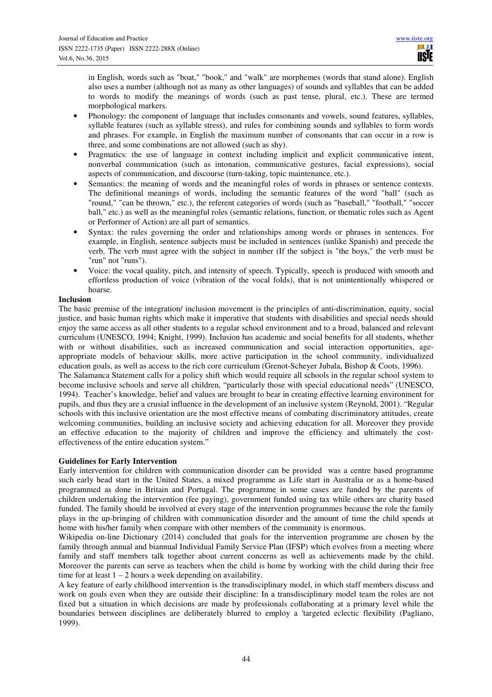in English, words such as "boat," "book," and "walk" are morphemes (words that stand alone). English also uses a number (although not as many as other languages) of sounds and syllables that can be added to words to modify the meanings of words (such as past tense, plural, etc.). These are termed morphological markers.

- Phonology: the component of language that includes consonants and vowels, sound features, syllables, syllable features (such as syllable stress), and rules for combining sounds and syllables to form words and phrases. For example, in English the maximum number of consonants that can occur in a row is three, and some combinations are not allowed (such as shy).
- Pragmatics: the use of language in context including implicit and explicit communicative intent, nonverbal communication (such as intonation, communicative gestures, facial expressions), social aspects of communication, and discourse (turn-taking, topic maintenance, etc.).
- Semantics: the meaning of words and the meaningful roles of words in phrases or sentence contexts. The definitional meanings of words, including the semantic features of the word "ball" (such as "round," "can be thrown," etc.), the referent categories of words (such as "baseball," "football," "soccer ball," etc.) as well as the meaningful roles (semantic relations, function, or thematic roles such as Agent or Performer of Action) are all part of semantics.
- Syntax: the rules governing the order and relationships among words or phrases in sentences. For example, in English, sentence subjects must be included in sentences (unlike Spanish) and precede the verb. The verb must agree with the subject in number (If the subject is "the boys," the verb must be "run" not "runs").
- Voice: the vocal quality, pitch, and intensity of speech. Typically, speech is produced with smooth and effortless production of voice (vibration of the vocal folds), that is not unintentionally whispered or hoarse.

### **Inclusion**

The basic premise of the integration/ inclusion movement is the principles of anti-discrimination, equity, social justice, and basic human rights which make it imperative that students with disabilities and special needs should enjoy the same access as all other students to a regular school environment and to a broad, balanced and relevant curriculum (UNESCO, 1994; Knight, 1999). Inclusion has academic and social benefits for all students, whether with or without disabilities, such as increased communication and social interaction opportunities, ageappropriate models of behaviour skills, more active participation in the school community, individualized education goals, as well as access to the rich core curriculum (Grenot-Scheyer Jubala, Bishop & Coots, 1996). The Salamanca Statement calls for a policy shift which would require all schools in the regular school system to

become inclusive schools and serve all children, "particularly those with special educational needs" (UNESCO, 1994). Teacher's knowledge, belief and values are brought to bear in creating effective learning environment for pupils, and thus they are a crusial influence in the development of an inclusive system (Reynold, 2001). "Regular schools with this inclusive orientation are the most effective means of combating discriminatory attitudes, create welcoming communities, building an inclusive society and achieving education for all. Moreover they provide an effective education to the majority of children and improve the efficiency and ultimately the costeffectiveness of the entire education system."

## **Guidelines for Early Intervention**

Early intervention for children with communication disorder can be provided was a centre based programme such early head start in the United States, a mixed programme as Life start in Australia or as a home-based programmed as done in Britain and Portugal. The programme in some cases are funded by the parents of children undertaking the intervention (fee paying), government funded using tax while others are charity based funded. The family should be involved at every stage of the intervention programmes because the role the family plays in the up-bringing of children with communication disorder and the amount of time the child spends at home with his/her family when compare with other members of the community is enormous.

Wikipedia on-line Dictionary (2014) concluded that goals for the intervention programme are chosen by the family through annual and biannual Individual Family Service Plan (IFSP) which evolves from a meeting where family and staff members talk together about current concerns as well as achievements made by the child. Moreover the parents can serve as teachers when the child is home by working with the child during their free time for at least  $1 - 2$  hours a week depending on availability.

A key feature of early childhood intervention is the transdisciplinary model, in which staff members discuss and work on goals even when they are outside their discipline: In a transdisciplinary model team the roles are not fixed but a situation in which decisions are made by professionals collaborating at a primary level while the boundaries between disciplines are deliberately blurred to employ a 'targeted eclectic flexibility (Pagliano, 1999).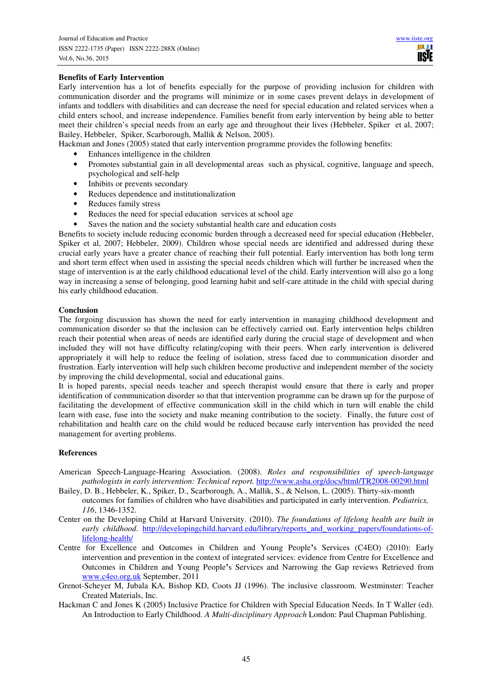## **Benefits of Early Intervention**

Early intervention has a lot of benefits especially for the purpose of providing inclusion for children with communication disorder and the programs will minimize or in some cases prevent delays in development of infants and toddlers with disabilities and can decrease the need for special education and related services when a child enters school, and increase independence. Families benefit from early intervention by being able to better meet their children's special needs from an early age and throughout their lives (Hebbeler, Spiker et al, 2007; Bailey, Hebbeler, Spiker, Scarborough, Mallik & Nelson, 2005).

Hackman and Jones (2005) stated that early intervention programme provides the following benefits:

- Enhances intelligence in the children
- Promotes substantial gain in all developmental areas such as physical, cognitive, language and speech, psychological and self-help
- Inhibits or prevents secondary
- Reduces dependence and institutionalization
- Reduces family stress
- Reduces the need for special education services at school age
- Saves the nation and the society substantial health care and education costs

Benefits to society include reducing economic burden through a decreased need for special education (Hebbeler, Spiker et al, 2007; Hebbeler, 2009). Children whose special needs are identified and addressed during these crucial early years have a greater chance of reaching their full potential. Early intervention has both long term and short term effect when used in assisting the special needs children which will further be increased when the stage of intervention is at the early childhood educational level of the child. Early intervention will also go a long way in increasing a sense of belonging, good learning habit and self-care attitude in the child with special during his early childhood education.

### **Conclusion**

The forgoing discussion has shown the need for early intervention in managing childhood development and communication disorder so that the inclusion can be effectively carried out. Early intervention helps children reach their potential when areas of needs are identified early during the crucial stage of development and when included they will not have difficulty relating/coping with their peers. When early intervention is delivered appropriately it will help to reduce the feeling of isolation, stress faced due to communication disorder and frustration. Early intervention will help such children become productive and independent member of the society by improving the child developmental, social and educational gains.

It is hoped parents, special needs teacher and speech therapist would ensure that there is early and proper identification of communication disorder so that that intervention programme can be drawn up for the purpose of facilitating the development of effective communication skill in the child which in turn will enable the child learn with ease, fuse into the society and make meaning contribution to the society. Finally, the future cost of rehabilitation and health care on the child would be reduced because early intervention has provided the need management for averting problems.

#### **References**

- American Speech-Language-Hearing Association. (2008). *Roles and responsibilities of speech-language pathologists in early intervention: Technical report.* http://www.asha.org/docs/html/TR2008-00290.html
- Bailey, D. B., Hebbeler, K., Spiker, D., Scarborough, A., Mallik, S., & Nelson, L. (2005). Thirty-six-month outcomes for families of children who have disabilities and participated in early intervention. *Pediatrics, 116*, 1346-1352.
- Center on the Developing Child at Harvard University. (2010). *The foundations of lifelong health are built in early childhood.* http://developingchild.harvard.edu/library/reports\_and\_working\_papers/foundations-oflifelong-health/
- Centre for Excellence and Outcomes in Children and Young People**'**s Services (C4EO) (2010): Early intervention and prevention in the context of integrated services: evidence from Centre for Excellence and Outcomes in Children and Young People**'**s Services and Narrowing the Gap reviews Retrieved from www.c4eo.org.uk September, 2011
- Grenot-Scheyer M, Jubala KA, Bishop KD, Coots JJ (1996). The inclusive classroom. Westminster: Teacher Created Materials, Inc.
- Hackman C and Jones K (2005) Inclusive Practice for Children with Special Education Needs. In T Waller (ed). An Introduction to Early Childhood. *A Multi-disciplinary Approach* London: Paul Chapman Publishing.